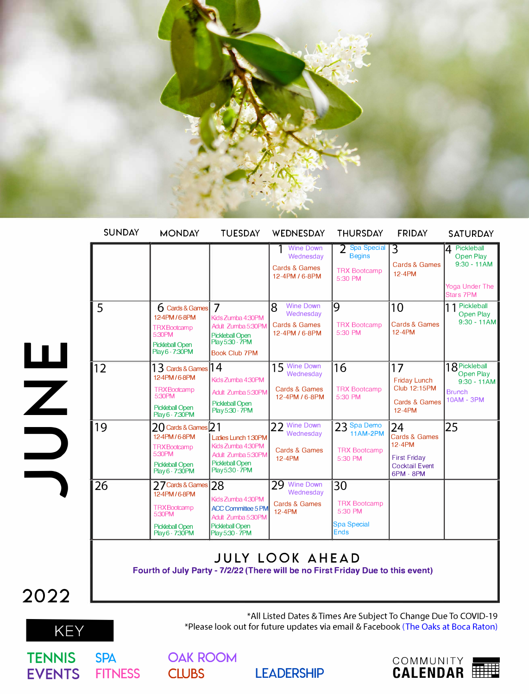

| <b>SUNDAY</b> | <b>MONDAY</b>                                                                                                        | <b>TUESDAY</b>                                                                                                                 | WEDNESDAY                                                                                                 | <b>THURSDAY</b>                                                           | <b>FRIDAY</b>                                                                              | <b>SATURDAY</b>                                                                         |
|---------------|----------------------------------------------------------------------------------------------------------------------|--------------------------------------------------------------------------------------------------------------------------------|-----------------------------------------------------------------------------------------------------------|---------------------------------------------------------------------------|--------------------------------------------------------------------------------------------|-----------------------------------------------------------------------------------------|
|               |                                                                                                                      |                                                                                                                                | <b>Wine Down</b><br>Wednesdav<br><b>Cards &amp; Games</b><br>12-4PM / 6-8PM                               | 2 Spa Special<br><b>Begins</b><br><b>TRX Bootcamp</b><br>5:30 PM          | $\overline{3}$<br><b>Cards &amp; Games</b><br>12-4PM                                       | 4 Pickleball<br>Open Play<br>$9:30 - 11AM$<br><b>Yoga Under The</b><br><b>Stars 7PM</b> |
| 5             | 6 Cards & Games<br>12-4PM/6-8PM<br><b>TRXBootcamp</b><br>5:30PM<br><b>Pickleball Open</b><br>Play 6 - 7:30PM         | $\overline{7}$<br>Kids Zumba 4:30PM<br>Adult Zumba 5:30PM<br><b>Pickleball Open</b><br>Play 5:30 - 7PM<br><b>Book Club 7PM</b> | <b>Wine Down</b><br>$\mathsf{R}$<br>Wednesday<br><b>Cards &amp; Games</b><br>12-4PM / 6-8PM               | 9<br><b>TRX Bootcamp</b><br>5:30 PM                                       | 10<br><b>Cards &amp; Games</b><br>12-4PM                                                   | 11 Pickleball<br>Open Play<br>$9:30 - 11AM$                                             |
| 12            | 13 Cards & Games 14<br>12-4PM/6-8PM<br><b>TRXBootcamp</b><br>5:30PM<br><b>Pickleball Open</b><br>Play 6 - 7:30PM     | Kids Zumba 4:30PM<br>Adult Zumba 5:30PM<br>Pickleball Open<br>Play 5:30 - 7PM                                                  | 15 Wine Down<br>Wednesday<br>Cards & Games<br>12-4PM / 6-8PM                                              | 16<br><b>TRX Bootcamp</b><br>5:30 PM                                      | 17<br><b>Friday Lunch</b><br><b>Club 12:15PM</b><br><b>Cards &amp; Games</b><br>12-4PM     | 18 Pickleball<br>Open Play<br>$9:30 - 11AM$<br><b>Brunch</b><br><b>10AM - 3PM</b>       |
| 19            | $20$ Cards & Games $21$<br>12-4PM/6-8PM<br><b>TRXBootcamp</b><br>5:30PM<br><b>Pickleball Open</b><br>Play 6 - 7:30PM | Ladies Lunch 1:30PM<br>Kids Zumba 4:30PM<br>Adult Zumba 5:30PM<br><b>Pickleball Open</b><br>Play5:30 - 7PM                     | 22 Wine Down<br>Wednesday<br>Cards & Games<br>12-4PM                                                      | 23 Spa Demo<br><b>11AM-2PM</b><br><b>TRX Bootcamp</b><br>5:30 PM          | 24<br>Cards & Games<br>12-4PM<br><b>First Friday</b><br><b>Cocktail Event</b><br>6PM - 8PM | 25                                                                                      |
| 26            | 77 Cards & Games<br>12-4PM/6-8PM<br><b>TRXBootcamp</b><br>5:30PM<br><b>Pickleball Open</b><br>Play 6 - 7:30 PM       | 28<br>Kids Zumba 4:30PM<br><b>ACC Committee 5 PM</b><br>Adult Zumba 5:30PM<br><b>Pickleball Open</b><br>Play 5:30 - 7PM        | 29 Wine Down<br>Wednesday<br>Cards & Games<br>12-4PM                                                      | 30<br><b>TRX Bootcamp</b><br>5:30 PM<br><b>Spa Special</b><br><b>Ends</b> |                                                                                            |                                                                                         |
|               |                                                                                                                      |                                                                                                                                | <b>JULY LOOK AHEAD</b><br>Fourth of July Party - 7/2/22 (There will be no First Friday Due to this event) |                                                                           |                                                                                            |                                                                                         |
|               |                                                                                                                      |                                                                                                                                | $x \wedge 11 + 1 \wedge  \wedge n$                                                                        |                                                                           |                                                                                            |                                                                                         |

**OAK ROOM** 



\*All Listed Dates & Times Are SubjectTo Change Due To COVID-19 \*Please look out for future updates via email & Facebook (The Oaks at Boca Raton)

LEADERSHIP